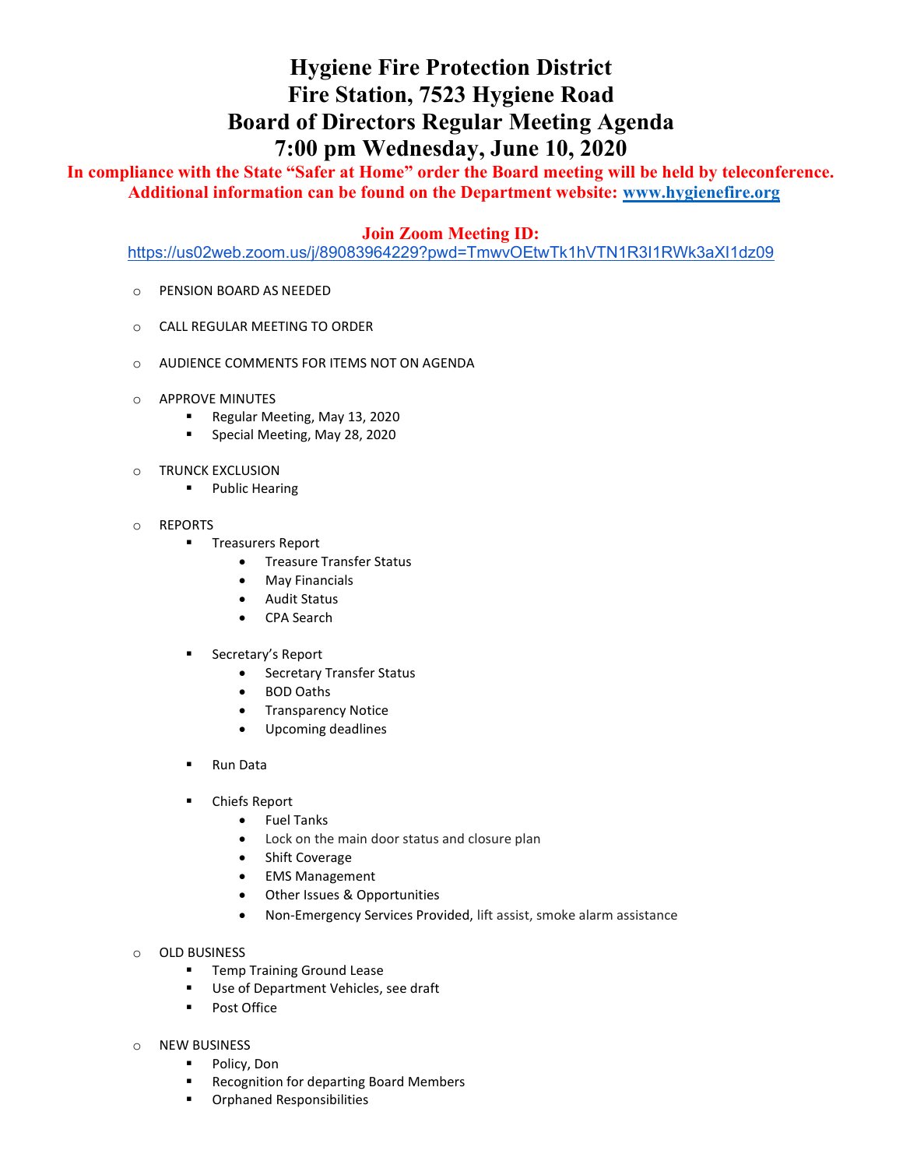## Hygiene Fire Protection District Fire Station, 7523 Hygiene Road Board of Directors Regular Meeting Agenda 7:00 pm Wednesday, June 10, 2020

In compliance with the State "Safer at Home" order the Board meeting will be held by teleconference. Additional information can be found on the Department website: www.hygienefire.org

## Join Zoom Meeting ID:

https://us02web.zoom.us/j/89083964229?pwd=TmwvOEtwTk1hVTN1R3I1RWk3aXI1dz09

- o PENSION BOARD AS NEEDED
- o CALL REGULAR MEETING TO ORDER
- o AUDIENCE COMMENTS FOR ITEMS NOT ON AGENDA
- o APPROVE MINUTES
	- Regular Meeting, May 13, 2020
	- **Special Meeting, May 28, 2020**
- o TRUNCK EXCLUSION
	- **•** Public Hearing
- o REPORTS
	- **Treasurers Report** 
		- **•** Treasure Transfer Status
		- May Financials
		- Audit Status
		- CPA Search
	- **Secretary's Report** 
		- Secretary Transfer Status
		- BOD Oaths
		- **•** Transparency Notice
		- Upcoming deadlines
	- Run Data
	- Chiefs Report
		- Fuel Tanks
		- Lock on the main door status and closure plan
		- Shift Coverage
		- EMS Management
		- Other Issues & Opportunities
		- Non-Emergency Services Provided, lift assist, smoke alarm assistance
- o OLD BUSINESS
	- **Temp Training Ground Lease**
	- Use of Department Vehicles, see draft
	- **Post Office**
- o NEW BUSINESS
	- **Policy, Don**
	- **Recognition for departing Board Members**
	- **•** Orphaned Responsibilities